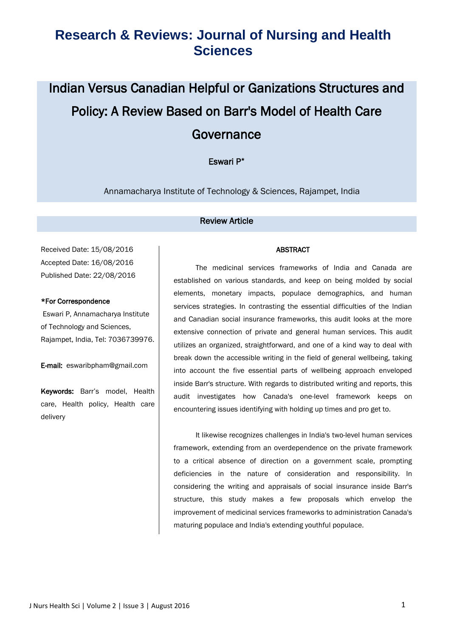# Indian Versus Canadian Helpful or Ganizations Structures and Policy: A Review Based on Barr's Model of Health Care Governance

#### Eswari P\*

Annamacharya Institute of Technology & Sciences, Rajampet, India

#### Review Article

Received Date: 15/08/2016 Accepted Date: 16/08/2016 Published Date: 22/08/2016

#### \*For Correspondence

Eswari P, Annamacharya Institute of Technology and Sciences, Rajampet, India, Tel: 7036739976.

E-mail: eswaribpham@gmail.com

Keywords: Barr's model, Health care, Health policy, Health care delivery

#### ABSTRACT

The medicinal services frameworks of India and Canada are established on various standards, and keep on being molded by social elements, monetary impacts, populace demographics, and human services strategies. In contrasting the essential difficulties of the Indian and Canadian social insurance frameworks, this audit looks at the more extensive connection of private and general human services. This audit utilizes an organized, straightforward, and one of a kind way to deal with break down the accessible writing in the field of general wellbeing, taking into account the five essential parts of wellbeing approach enveloped inside Barr's structure. With regards to distributed writing and reports, this audit investigates how Canada's one-level framework keeps on encountering issues identifying with holding up times and pro get to.

It likewise recognizes challenges in India's two-level human services framework, extending from an overdependence on the private framework to a critical absence of direction on a government scale, prompting deficiencies in the nature of consideration and responsibility. In considering the writing and appraisals of social insurance inside Barr's structure, this study makes a few proposals which envelop the improvement of medicinal services frameworks to administration Canada's maturing populace and India's extending youthful populace.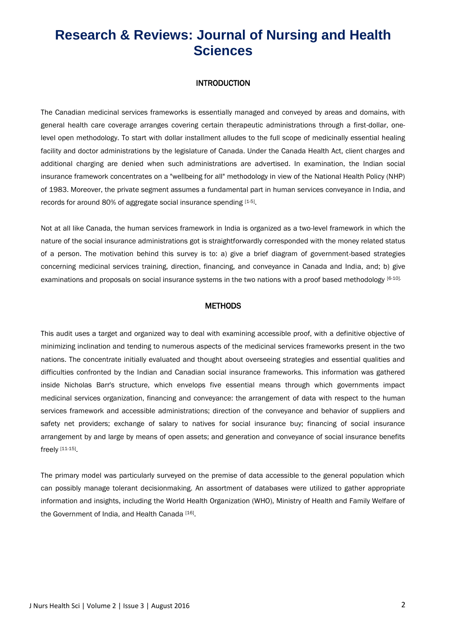#### INTRODUCTION

The Canadian medicinal services frameworks is essentially managed and conveyed by areas and domains, with general health care coverage arranges covering certain therapeutic administrations through a first-dollar, onelevel open methodology. To start with dollar installment alludes to the full scope of medicinally essential healing facility and doctor administrations by the legislature of Canada. Under the Canada Health Act, client charges and additional charging are denied when such administrations are advertised. In examination, the Indian social insurance framework concentrates on a "wellbeing for all" methodology in view of the National Health Policy (NHP) of 1983. Moreover, the private segment assumes a fundamental part in human services conveyance in India, and records for around 80% of aggregate social insurance spending [1-5].

Not at all like Canada, the human services framework in India is organized as a two-level framework in which the nature of the social insurance administrations got is straightforwardly corresponded with the money related status of a person. The motivation behind this survey is to: a) give a brief diagram of government-based strategies concerning medicinal services training, direction, financing, and conveyance in Canada and India, and; b) give examinations and proposals on social insurance systems in the two nations with a proof based methodology [6-10].

#### **METHODS**

This audit uses a target and organized way to deal with examining accessible proof, with a definitive objective of minimizing inclination and tending to numerous aspects of the medicinal services frameworks present in the two nations. The concentrate initially evaluated and thought about overseeing strategies and essential qualities and difficulties confronted by the Indian and Canadian social insurance frameworks. This information was gathered inside Nicholas Barr's structure, which envelops five essential means through which governments impact medicinal services organization, financing and conveyance: the arrangement of data with respect to the human services framework and accessible administrations; direction of the conveyance and behavior of suppliers and safety net providers; exchange of salary to natives for social insurance buy; financing of social insurance arrangement by and large by means of open assets; and generation and conveyance of social insurance benefits freely [11-15] .

The primary model was particularly surveyed on the premise of data accessible to the general population which can possibly manage tolerant decisionmaking. An assortment of databases were utilized to gather appropriate information and insights, including the World Health Organization (WHO), Ministry of Health and Family Welfare of the Government of India, and Health Canada [16].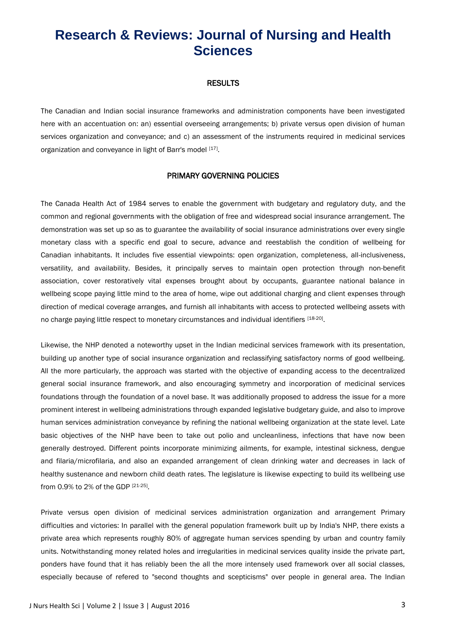#### **RESULTS**

The Canadian and Indian social insurance frameworks and administration components have been investigated here with an accentuation on: an) essential overseeing arrangements; b) private versus open division of human services organization and conveyance; and c) an assessment of the instruments required in medicinal services organization and conveyance in light of Barr's model [17].

#### PRIMARY GOVERNING POLICIES

The Canada Health Act of 1984 serves to enable the government with budgetary and regulatory duty, and the common and regional governments with the obligation of free and widespread social insurance arrangement. The demonstration was set up so as to guarantee the availability of social insurance administrations over every single monetary class with a specific end goal to secure, advance and reestablish the condition of wellbeing for Canadian inhabitants. It includes five essential viewpoints: open organization, completeness, all-inclusiveness, versatility, and availability. Besides, it principally serves to maintain open protection through non-benefit association, cover restoratively vital expenses brought about by occupants, guarantee national balance in wellbeing scope paying little mind to the area of home, wipe out additional charging and client expenses through direction of medical coverage arranges, and furnish all inhabitants with access to protected wellbeing assets with no charge paying little respect to monetary circumstances and individual identifiers [18-20].

Likewise, the NHP denoted a noteworthy upset in the Indian medicinal services framework with its presentation, building up another type of social insurance organization and reclassifying satisfactory norms of good wellbeing. All the more particularly, the approach was started with the objective of expanding access to the decentralized general social insurance framework, and also encouraging symmetry and incorporation of medicinal services foundations through the foundation of a novel base. It was additionally proposed to address the issue for a more prominent interest in wellbeing administrations through expanded legislative budgetary guide, and also to improve human services administration conveyance by refining the national wellbeing organization at the state level. Late basic objectives of the NHP have been to take out polio and uncleanliness, infections that have now been generally destroyed. Different points incorporate minimizing ailments, for example, intestinal sickness, dengue and filaria/microfilaria, and also an expanded arrangement of clean drinking water and decreases in lack of healthy sustenance and newborn child death rates. The legislature is likewise expecting to build its wellbeing use from 0.9% to 2% of the GDP [21-25].

Private versus open division of medicinal services administration organization and arrangement Primary difficulties and victories: In parallel with the general population framework built up by India's NHP, there exists a private area which represents roughly 80% of aggregate human services spending by urban and country family units. Notwithstanding money related holes and irregularities in medicinal services quality inside the private part, ponders have found that it has reliably been the all the more intensely used framework over all social classes, especially because of refered to "second thoughts and scepticisms" over people in general area. The Indian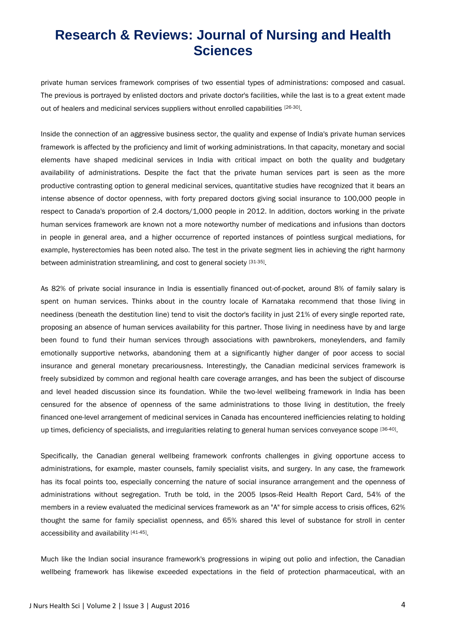private human services framework comprises of two essential types of administrations: composed and casual. The previous is portrayed by enlisted doctors and private doctor's facilities, while the last is to a great extent made out of healers and medicinal services suppliers without enrolled capabilities [26-30].

Inside the connection of an aggressive business sector, the quality and expense of India's private human services framework is affected by the proficiency and limit of working administrations. In that capacity, monetary and social elements have shaped medicinal services in India with critical impact on both the quality and budgetary availability of administrations. Despite the fact that the private human services part is seen as the more productive contrasting option to general medicinal services, quantitative studies have recognized that it bears an intense absence of doctor openness, with forty prepared doctors giving social insurance to 100,000 people in respect to Canada's proportion of 2.4 doctors/1,000 people in 2012. In addition, doctors working in the private human services framework are known not a more noteworthy number of medications and infusions than doctors in people in general area, and a higher occurrence of reported instances of pointless surgical mediations, for example, hysterectomies has been noted also. The test in the private segment lies in achieving the right harmony between administration streamlining, and cost to general society [31-35].

As 82% of private social insurance in India is essentially financed out-of-pocket, around 8% of family salary is spent on human services. Thinks about in the country locale of Karnataka recommend that those living in neediness (beneath the destitution line) tend to visit the doctor's facility in just 21% of every single reported rate, proposing an absence of human services availability for this partner. Those living in neediness have by and large been found to fund their human services through associations with pawnbrokers, moneylenders, and family emotionally supportive networks, abandoning them at a significantly higher danger of poor access to social insurance and general monetary precariousness. Interestingly, the Canadian medicinal services framework is freely subsidized by common and regional health care coverage arranges, and has been the subject of discourse and level headed discussion since its foundation. While the two-level wellbeing framework in India has been censured for the absence of openness of the same administrations to those living in destitution, the freely financed one-level arrangement of medicinal services in Canada has encountered inefficiencies relating to holding up times, deficiency of specialists, and irregularities relating to general human services conveyance scope [36-40].

Specifically, the Canadian general wellbeing framework confronts challenges in giving opportune access to administrations, for example, master counsels, family specialist visits, and surgery. In any case, the framework has its focal points too, especially concerning the nature of social insurance arrangement and the openness of administrations without segregation. Truth be told, in the 2005 Ipsos-Reid Health Report Card, 54% of the members in a review evaluated the medicinal services framework as an "A" for simple access to crisis offices, 62% thought the same for family specialist openness, and 65% shared this level of substance for stroll in center accessibility and availability [41-45].

Much like the Indian social insurance framework's progressions in wiping out polio and infection, the Canadian wellbeing framework has likewise exceeded expectations in the field of protection pharmaceutical, with an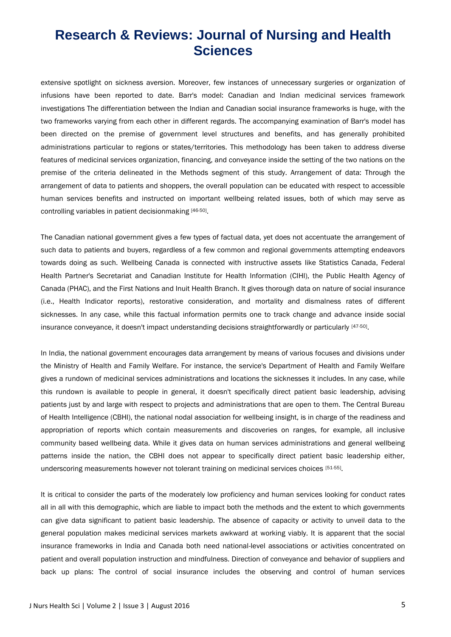extensive spotlight on sickness aversion. Moreover, few instances of unnecessary surgeries or organization of infusions have been reported to date. Barr's model: Canadian and Indian medicinal services framework investigations The differentiation between the Indian and Canadian social insurance frameworks is huge, with the two frameworks varying from each other in different regards. The accompanying examination of Barr's model has been directed on the premise of government level structures and benefits, and has generally prohibited administrations particular to regions or states/territories. This methodology has been taken to address diverse features of medicinal services organization, financing, and conveyance inside the setting of the two nations on the premise of the criteria delineated in the Methods segment of this study. Arrangement of data: Through the arrangement of data to patients and shoppers, the overall population can be educated with respect to accessible human services benefits and instructed on important wellbeing related issues, both of which may serve as controlling variables in patient decisionmaking [46-50].

The Canadian national government gives a few types of factual data, yet does not accentuate the arrangement of such data to patients and buyers, regardless of a few common and regional governments attempting endeavors towards doing as such. Wellbeing Canada is connected with instructive assets like Statistics Canada, Federal Health Partner's Secretariat and Canadian Institute for Health Information (CIHI), the Public Health Agency of Canada (PHAC), and the First Nations and Inuit Health Branch. It gives thorough data on nature of social insurance (i.e., Health Indicator reports), restorative consideration, and mortality and dismalness rates of different sicknesses. In any case, while this factual information permits one to track change and advance inside social insurance conveyance, it doesn't impact understanding decisions straightforwardly or particularly [47-50].

In India, the national government encourages data arrangement by means of various focuses and divisions under the Ministry of Health and Family Welfare. For instance, the service's Department of Health and Family Welfare gives a rundown of medicinal services administrations and locations the sicknesses it includes. In any case, while this rundown is available to people in general, it doesn't specifically direct patient basic leadership, advising patients just by and large with respect to projects and administrations that are open to them. The Central Bureau of Health Intelligence (CBHI), the national nodal association for wellbeing insight, is in charge of the readiness and appropriation of reports which contain measurements and discoveries on ranges, for example, all inclusive community based wellbeing data. While it gives data on human services administrations and general wellbeing patterns inside the nation, the CBHI does not appear to specifically direct patient basic leadership either, underscoring measurements however not tolerant training on medicinal services choices [51-55].

It is critical to consider the parts of the moderately low proficiency and human services looking for conduct rates all in all with this demographic, which are liable to impact both the methods and the extent to which governments can give data significant to patient basic leadership. The absence of capacity or activity to unveil data to the general population makes medicinal services markets awkward at working viably. It is apparent that the social insurance frameworks in India and Canada both need national-level associations or activities concentrated on patient and overall population instruction and mindfulness. Direction of conveyance and behavior of suppliers and back up plans: The control of social insurance includes the observing and control of human services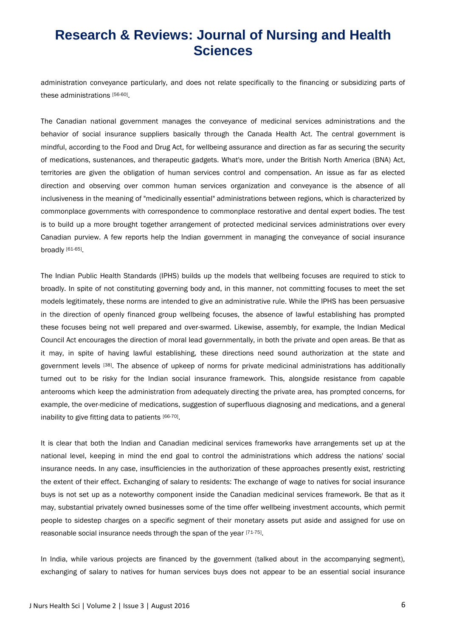administration conveyance particularly, and does not relate specifically to the financing or subsidizing parts of these administrations [56-60] .

The Canadian national government manages the conveyance of medicinal services administrations and the behavior of social insurance suppliers basically through the Canada Health Act. The central government is mindful, according to the Food and Drug Act, for wellbeing assurance and direction as far as securing the security of medications, sustenances, and therapeutic gadgets. What's more, under the British North America (BNA) Act, territories are given the obligation of human services control and compensation. An issue as far as elected direction and observing over common human services organization and conveyance is the absence of all inclusiveness in the meaning of "medicinally essential" administrations between regions, which is characterized by commonplace governments with correspondence to commonplace restorative and dental expert bodies. The test is to build up a more brought together arrangement of protected medicinal services administrations over every Canadian purview. A few reports help the Indian government in managing the conveyance of social insurance broadly [61-65].

The Indian Public Health Standards (IPHS) builds up the models that wellbeing focuses are required to stick to broadly. In spite of not constituting governing body and, in this manner, not committing focuses to meet the set models legitimately, these norms are intended to give an administrative rule. While the IPHS has been persuasive in the direction of openly financed group wellbeing focuses, the absence of lawful establishing has prompted these focuses being not well prepared and over-swarmed. Likewise, assembly, for example, the Indian Medical Council Act encourages the direction of moral lead governmentally, in both the private and open areas. Be that as it may, in spite of having lawful establishing, these directions need sound authorization at the state and government levels [38]. The absence of upkeep of norms for private medicinal administrations has additionally turned out to be risky for the Indian social insurance framework. This, alongside resistance from capable anterooms which keep the administration from adequately directing the private area, has prompted concerns, for example, the over-medicine of medications, suggestion of superfluous diagnosing and medications, and a general inability to give fitting data to patients [66-70].

It is clear that both the Indian and Canadian medicinal services frameworks have arrangements set up at the national level, keeping in mind the end goal to control the administrations which address the nations' social insurance needs. In any case, insufficiencies in the authorization of these approaches presently exist, restricting the extent of their effect. Exchanging of salary to residents: The exchange of wage to natives for social insurance buys is not set up as a noteworthy component inside the Canadian medicinal services framework. Be that as it may, substantial privately owned businesses some of the time offer wellbeing investment accounts, which permit people to sidestep charges on a specific segment of their monetary assets put aside and assigned for use on reasonable social insurance needs through the span of the year [71-75].

In India, while various projects are financed by the government (talked about in the accompanying segment), exchanging of salary to natives for human services buys does not appear to be an essential social insurance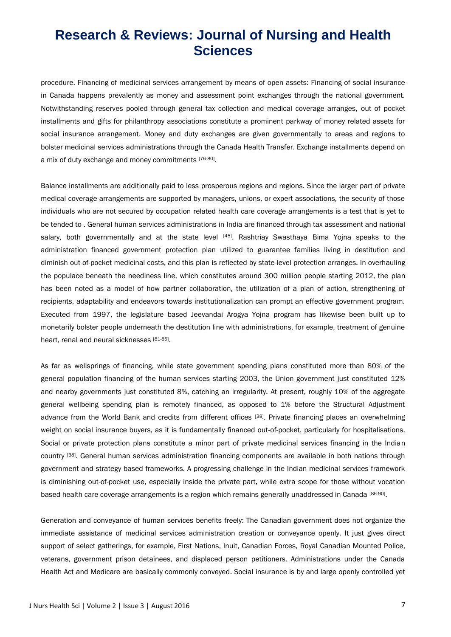procedure. Financing of medicinal services arrangement by means of open assets: Financing of social insurance in Canada happens prevalently as money and assessment point exchanges through the national government. Notwithstanding reserves pooled through general tax collection and medical coverage arranges, out of pocket installments and gifts for philanthropy associations constitute a prominent parkway of money related assets for social insurance arrangement. Money and duty exchanges are given governmentally to areas and regions to bolster medicinal services administrations through the Canada Health Transfer. Exchange installments depend on a mix of duty exchange and money commitments [76-80].

Balance installments are additionally paid to less prosperous regions and regions. Since the larger part of private medical coverage arrangements are supported by managers, unions, or expert associations, the security of those individuals who are not secured by occupation related health care coverage arrangements is a test that is yet to be tended to . General human services administrations in India are financed through tax assessment and national salary, both governmentally and at the state level [45]. Rashtriay Swasthaya Bima Yojna speaks to the administration financed government protection plan utilized to guarantee families living in destitution and diminish out-of-pocket medicinal costs, and this plan is reflected by state-level protection arranges. In overhauling the populace beneath the neediness line, which constitutes around 300 million people starting 2012, the plan has been noted as a model of how partner collaboration, the utilization of a plan of action, strengthening of recipients, adaptability and endeavors towards institutionalization can prompt an effective government program. Executed from 1997, the legislature based Jeevandai Arogya Yojna program has likewise been built up to monetarily bolster people underneath the destitution line with administrations, for example, treatment of genuine heart, renal and neural sicknesses [81-85].

As far as wellsprings of financing, while state government spending plans constituted more than 80% of the general population financing of the human services starting 2003, the Union government just constituted 12% and nearby governments just constituted 8%, catching an irregularity. At present, roughly 10% of the aggregate general wellbeing spending plan is remotely financed, as opposed to 1% before the Structural Adjustment advance from the World Bank and credits from different offices [38]. Private financing places an overwhelming weight on social insurance buyers, as it is fundamentally financed out-of-pocket, particularly for hospitalisations. Social or private protection plans constitute a minor part of private medicinal services financing in the Indian country [38]. General human services administration financing components are available in both nations through government and strategy based frameworks. A progressing challenge in the Indian medicinal services framework is diminishing out-of-pocket use, especially inside the private part, while extra scope for those without vocation based health care coverage arrangements is a region which remains generally unaddressed in Canada [86-90].

Generation and conveyance of human services benefits freely: The Canadian government does not organize the immediate assistance of medicinal services administration creation or conveyance openly. It just gives direct support of select gatherings, for example, First Nations, Inuit, Canadian Forces, Royal Canadian Mounted Police, veterans, government prison detainees, and displaced person petitioners. Administrations under the Canada Health Act and Medicare are basically commonly conveyed. Social insurance is by and large openly controlled yet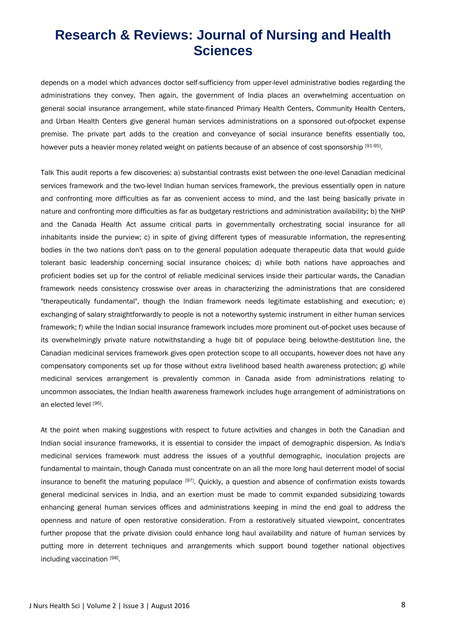depends on a model which advances doctor self-sufficiency from upper-level administrative bodies regarding the administrations they convey. Then again, the government of India places an overwhelming accentuation on general social insurance arrangement, while state-financed Primary Health Centers, Community Health Centers, and Urban Health Centers give general human services administrations on a sponsored out-ofpocket expense premise. The private part adds to the creation and conveyance of social insurance benefits essentially too, however puts a heavier money related weight on patients because of an absence of cost sponsorship [91-95].

Talk This audit reports a few discoveries: a) substantial contrasts exist between the one-level Canadian medicinal services framework and the two-level Indian human services framework, the previous essentially open in nature and confronting more difficulties as far as convenient access to mind, and the last being basically private in nature and confronting more difficulties as far as budgetary restrictions and administration availability; b) the NHP and the Canada Health Act assume critical parts in governmentally orchestrating social insurance for all inhabitants inside the purview; c) in spite of giving different types of measurable information, the representing bodies in the two nations don't pass on to the general population adequate therapeutic data that would guide tolerant basic leadership concerning social insurance choices; d) while both nations have approaches and proficient bodies set up for the control of reliable medicinal services inside their particular wards, the Canadian framework needs consistency crosswise over areas in characterizing the administrations that are considered "therapeutically fundamental", though the Indian framework needs legitimate establishing and execution; e) exchanging of salary straightforwardly to people is not a noteworthy systemic instrument in either human services framework; f) while the Indian social insurance framework includes more prominent out-of-pocket uses because of its overwhelmingly private nature notwithstanding a huge bit of populace being belowthe-destitution line, the Canadian medicinal services framework gives open protection scope to all occupants, however does not have any compensatory components set up for those without extra livelihood based health awareness protection; g) while medicinal services arrangement is prevalently common in Canada aside from administrations relating to uncommon associates, the Indian health awareness framework includes huge arrangement of administrations on an elected level [96].

At the point when making suggestions with respect to future activities and changes in both the Canadian and Indian social insurance frameworks, it is essential to consider the impact of demographic dispersion. As India's medicinal services framework must address the issues of a youthful demographic, inoculation projects are fundamental to maintain, though Canada must concentrate on an all the more long haul deterrent model of social insurance to benefit the maturing populace [97]. Quickly, a question and absence of confirmation exists towards general medicinal services in India, and an exertion must be made to commit expanded subsidizing towards enhancing general human services offices and administrations keeping in mind the end goal to address the openness and nature of open restorative consideration. From a restoratively situated viewpoint, concentrates further propose that the private division could enhance long haul availability and nature of human services by putting more in deterrent techniques and arrangements which support bound together national objectives including vaccination [98].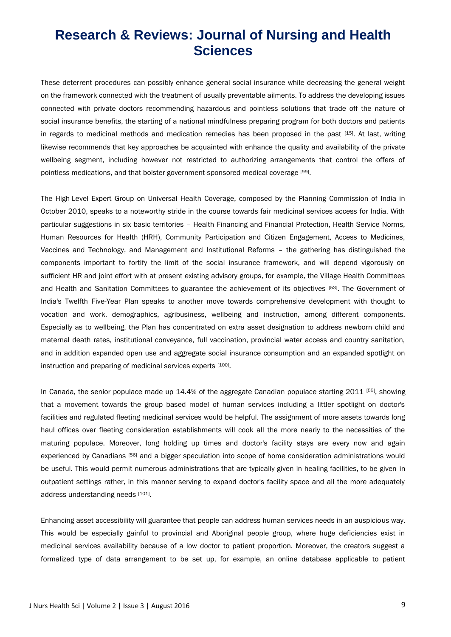These deterrent procedures can possibly enhance general social insurance while decreasing the general weight on the framework connected with the treatment of usually preventable ailments. To address the developing issues connected with private doctors recommending hazardous and pointless solutions that trade off the nature of social insurance benefits, the starting of a national mindfulness preparing program for both doctors and patients in regards to medicinal methods and medication remedies has been proposed in the past [15]. At last, writing likewise recommends that key approaches be acquainted with enhance the quality and availability of the private wellbeing segment, including however not restricted to authorizing arrangements that control the offers of pointless medications, and that bolster government-sponsored medical coverage [99].

The High-Level Expert Group on Universal Health Coverage, composed by the Planning Commission of India in October 2010, speaks to a noteworthy stride in the course towards fair medicinal services access for India. With particular suggestions in six basic territories – Health Financing and Financial Protection, Health Service Norms, Human Resources for Health (HRH), Community Participation and Citizen Engagement, Access to Medicines, Vaccines and Technology, and Management and Institutional Reforms – the gathering has distinguished the components important to fortify the limit of the social insurance framework, and will depend vigorously on sufficient HR and joint effort with at present existing advisory groups, for example, the Village Health Committees and Health and Sanitation Committees to guarantee the achievement of its objectives [53]. The Government of India's Twelfth Five-Year Plan speaks to another move towards comprehensive development with thought to vocation and work, demographics, agribusiness, wellbeing and instruction, among different components. Especially as to wellbeing, the Plan has concentrated on extra asset designation to address newborn child and maternal death rates, institutional conveyance, full vaccination, provincial water access and country sanitation, and in addition expanded open use and aggregate social insurance consumption and an expanded spotlight on instruction and preparing of medicinal services experts [100].

In Canada, the senior populace made up 14.4% of the aggregate Canadian populace starting 2011 [55], showing that a movement towards the group based model of human services including a littler spotlight on doctor's facilities and regulated fleeting medicinal services would be helpful. The assignment of more assets towards long haul offices over fleeting consideration establishments will cook all the more nearly to the necessities of the maturing populace. Moreover, long holding up times and doctor's facility stays are every now and again experienced by Canadians [56] and a bigger speculation into scope of home consideration administrations would be useful. This would permit numerous administrations that are typically given in healing facilities, to be given in outpatient settings rather, in this manner serving to expand doctor's facility space and all the more adequately address understanding needs [101].

Enhancing asset accessibility will guarantee that people can address human services needs in an auspicious way. This would be especially gainful to provincial and Aboriginal people group, where huge deficiencies exist in medicinal services availability because of a low doctor to patient proportion. Moreover, the creators suggest a formalized type of data arrangement to be set up, for example, an online database applicable to patient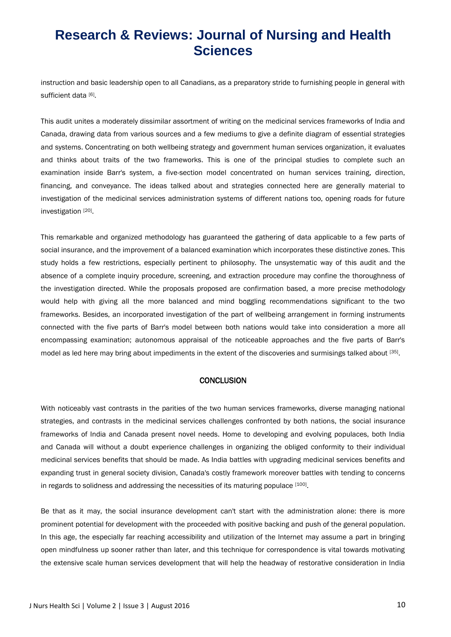instruction and basic leadership open to all Canadians, as a preparatory stride to furnishing people in general with sufficient data [6].

This audit unites a moderately dissimilar assortment of writing on the medicinal services frameworks of India and Canada, drawing data from various sources and a few mediums to give a definite diagram of essential strategies and systems. Concentrating on both wellbeing strategy and government human services organization, it evaluates and thinks about traits of the two frameworks. This is one of the principal studies to complete such an examination inside Barr's system, a five-section model concentrated on human services training, direction, financing, and conveyance. The ideas talked about and strategies connected here are generally material to investigation of the medicinal services administration systems of different nations too, opening roads for future investigation [20].

This remarkable and organized methodology has guaranteed the gathering of data applicable to a few parts of social insurance, and the improvement of a balanced examination which incorporates these distinctive zones. This study holds a few restrictions, especially pertinent to philosophy. The unsystematic way of this audit and the absence of a complete inquiry procedure, screening, and extraction procedure may confine the thoroughness of the investigation directed. While the proposals proposed are confirmation based, a more precise methodology would help with giving all the more balanced and mind boggling recommendations significant to the two frameworks. Besides, an incorporated investigation of the part of wellbeing arrangement in forming instruments connected with the five parts of Barr's model between both nations would take into consideration a more all encompassing examination; autonomous appraisal of the noticeable approaches and the five parts of Barr's model as led here may bring about impediments in the extent of the discoveries and surmisings talked about [35].

#### **CONCLUSION**

With noticeably vast contrasts in the parities of the two human services frameworks, diverse managing national strategies, and contrasts in the medicinal services challenges confronted by both nations, the social insurance frameworks of India and Canada present novel needs. Home to developing and evolving populaces, both India and Canada will without a doubt experience challenges in organizing the obliged conformity to their individual medicinal services benefits that should be made. As India battles with upgrading medicinal services benefits and expanding trust in general society division, Canada's costly framework moreover battles with tending to concerns in regards to solidness and addressing the necessities of its maturing populace [100].

Be that as it may, the social insurance development can't start with the administration alone: there is more prominent potential for development with the proceeded with positive backing and push of the general population. In this age, the especially far reaching accessibility and utilization of the Internet may assume a part in bringing open mindfulness up sooner rather than later, and this technique for correspondence is vital towards motivating the extensive scale human services development that will help the headway of restorative consideration in India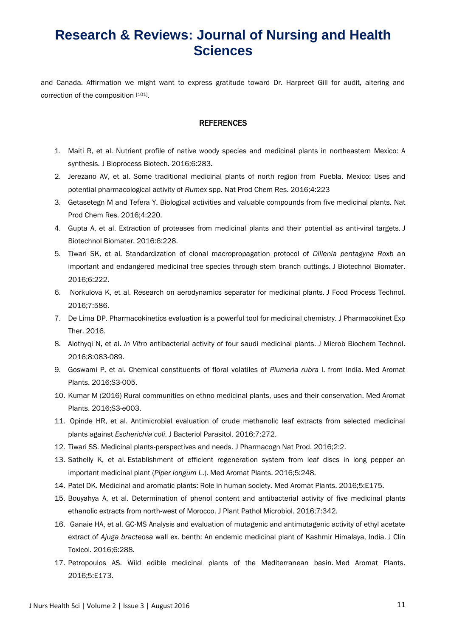and Canada. Affirmation we might want to express gratitude toward Dr. Harpreet Gill for audit, altering and correction of the composition [101].

#### **REFERENCES**

- 1. Maiti R, et al. Nutrient profile of native woody species and medicinal plants in northeastern Mexico: A synthesis. J Bioprocess Biotech. 2016;6:283.
- 2. Jerezano AV, et al. Some traditional medicinal plants of north region from Puebla, Mexico: Uses and potential pharmacological activity of *Rumex* spp. Nat Prod Chem Res. 2016;4:223
- 3. Getasetegn M and Tefera Y. Biological activities and valuable compounds from five medicinal plants. Nat Prod Chem Res. 2016;4:220.
- 4. Gupta A, et al. Extraction of proteases from medicinal plants and their potential as anti-viral targets. J Biotechnol Biomater. 2016:6:228.
- 5. Tiwari SK, et al. Standardization of clonal macropropagation protocol of *Dillenia pentagyna Roxb* an important and endangered medicinal tree species through stem branch cuttings. J Biotechnol Biomater. 2016;6:222.
- 6. Norkulova K, et al. Research on aerodynamics separator for medicinal plants. J Food Process Technol. 2016;7:586.
- 7. De Lima DP. Pharmacokinetics evaluation is a powerful tool for medicinal chemistry. J Pharmacokinet Exp Ther. 2016.
- 8. Alothyqi N, et al. *In Vitro* antibacterial activity of four saudi medicinal plants. J Microb Biochem Technol. 2016;8:083-089.
- 9. Goswami P, et al. Chemical constituents of floral volatiles of *Plumeria rubra* l. from India. Med Aromat Plants. 2016;S3-005.
- 10. Kumar M (2016) Rural communities on ethno medicinal plants, uses and their conservation. Med Aromat Plants. 2016;S3-e003.
- 11. Opinde HR, et al. Antimicrobial evaluation of crude methanolic leaf extracts from selected medicinal plants against *Escherichia coli*. J Bacteriol Parasitol. 2016;7:272.
- 12. Tiwari SS. Medicinal plants-perspectives and needs. J Pharmacogn Nat Prod. 2016;2:2.
- 13. Sathelly K, et al. Establishment of efficient regeneration system from leaf discs in long pepper an important medicinal plant (*Piper longum L*.). Med Aromat Plants. 2016;5:248.
- 14. Patel DK. Medicinal and aromatic plants: Role in human society. Med Aromat Plants. 2016;5:E175.
- 15. Bouyahya A, et al. Determination of phenol content and antibacterial activity of five medicinal plants ethanolic extracts from north-west of Morocco. J Plant Pathol Microbiol. 2016;7:342.
- 16. Ganaie HA, et al. GC-MS Analysis and evaluation of mutagenic and antimutagenic activity of ethyl acetate extract of *Ajuga bracteosa* wall ex. benth: An endemic medicinal plant of Kashmir Himalaya, India. J Clin Toxicol. 2016;6:288.
- 17. Petropoulos AS. Wild edible medicinal plants of the Mediterranean basin. Med Aromat Plants. 2016;5:E173.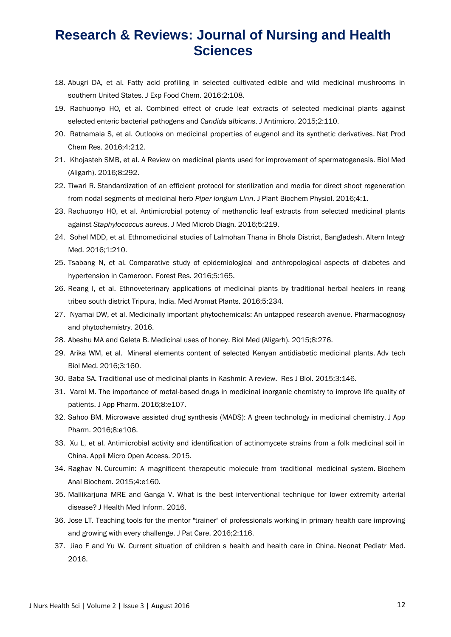- 18. Abugri DA, et al. Fatty acid profiling in selected cultivated edible and wild medicinal mushrooms in southern United States. J Exp Food Chem. 2016;2:108.
- 19. Rachuonyo HO, et al. Combined effect of crude leaf extracts of selected medicinal plants against selected enteric bacterial pathogens and *Candida albicans*. J Antimicro. 2015;2:110.
- 20. Ratnamala S, et al. Outlooks on medicinal properties of eugenol and its synthetic derivatives. Nat Prod Chem Res. 2016;4:212.
- 21. Khojasteh SMB, et al. A Review on medicinal plants used for improvement of spermatogenesis. Biol Med (Aligarh). 2016;8:292.
- 22. Tiwari R. Standardization of an efficient protocol for sterilization and media for direct shoot regeneration from nodal segments of medicinal herb *Piper longum Linn*. J Plant Biochem Physiol. 2016;4:1.
- 23. Rachuonyo HO, et al. Antimicrobial potency of methanolic leaf extracts from selected medicinal plants against *Staphylococcus aureus.* J Med Microb Diagn. 2016;5:219.
- 24. Sohel MDD, et al. Ethnomedicinal studies of Lalmohan Thana in Bhola District, Bangladesh. Altern Integr Med. 2016;1:210.
- 25. Tsabang N, et al. Comparative study of epidemiological and anthropological aspects of diabetes and hypertension in Cameroon. Forest Res. 2016;5:165.
- 26. Reang I, et al. Ethnoveterinary applications of medicinal plants by traditional herbal healers in reang tribeo south district Tripura, India. Med Aromat Plants. 2016;5:234.
- 27. Nyamai DW, et al. Medicinally important phytochemicals: An untapped research avenue. Pharmacognosy and phytochemistry. 2016.
- 28. Abeshu MA and Geleta B. Medicinal uses of honey. Biol Med (Aligarh). 2015;8:276.
- 29. Arika WM, et al. Mineral elements content of selected Kenyan antidiabetic medicinal plants. Adv tech Biol Med. 2016;3:160.
- 30. Baba SA. Traditional use of medicinal plants in Kashmir: A review. Res J Biol. 2015;3:146.
- 31. Varol M. The importance of metal-based drugs in medicinal inorganic chemistry to improve life quality of patients. J App Pharm. 2016;8:e107.
- 32. Sahoo BM. Microwave assisted drug synthesis (MADS): A green technology in medicinal chemistry. J App Pharm. 2016;8:e106.
- 33. Xu L, et al. Antimicrobial activity and identification of actinomycete strains from a folk medicinal soil in China. Appli Micro Open Access. 2015.
- 34. Raghav N. Curcumin: A magnificent therapeutic molecule from traditional medicinal system. Biochem Anal Biochem. 2015;4:e160.
- 35. Mallikarjuna MRE and Ganga V. What is the best interventional technique for lower extremity arterial disease? J Health Med Inform. 2016.
- 36. Jose LT. Teaching tools for the mentor "trainer" of professionals working in primary health care improving and growing with every challenge. J Pat Care. 2016;2:116.
- 37. Jiao F and Yu W. Current situation of children s health and health care in China. Neonat Pediatr Med. 2016.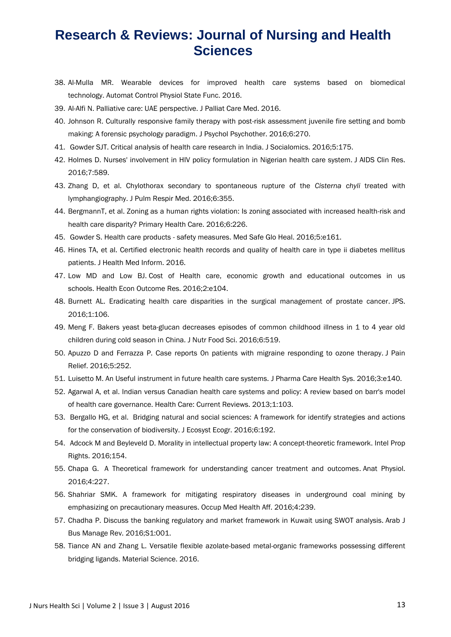- 38. Al-Mulla MR. Wearable devices for improved health care systems based on biomedical technology. Automat Control Physiol State Func. 2016.
- 39. Al-Alfi N. Palliative care: UAE perspective. J Palliat Care Med. 2016.
- 40. Johnson R. Culturally responsive family therapy with post-risk assessment juvenile fire setting and bomb making: A forensic psychology paradigm. J Psychol Psychother. 2016;6:270.
- 41. Gowder SJT. Critical analysis of health care research in India. J Socialomics. 2016;5:175.
- 42. Holmes D. Nurses' involvement in HIV policy formulation in Nigerian health care system. J AIDS Clin Res. 2016;7:589.
- 43. Zhang D, et al. Chylothorax secondary to spontaneous rupture of the *Cisterna chyli* treated with lymphangiography. J Pulm Respir Med. 2016;6:355.
- 44. BergmannT, et al. Zoning as a human rights violation: Is zoning associated with increased health-risk and health care disparity? Primary Health Care. 2016;6:226.
- 45. Gowder S. Health care products safety measures. Med Safe Glo Heal. 2016;5:e161.
- 46. Hines TA, et al. Certified electronic health records and quality of health care in type ii diabetes mellitus patients. J Health Med Inform. 2016.
- 47. Low MD and Low BJ. Cost of Health care, economic growth and educational outcomes in us schools. Health Econ Outcome Res. 2016;2:e104.
- 48. Burnett AL. Eradicating health care disparities in the surgical management of prostate cancer. JPS. 2016;1:106.
- 49. Meng F. Bakers yeast beta-glucan decreases episodes of common childhood illness in 1 to 4 year old children during cold season in China. J Nutr Food Sci. 2016;6:519.
- 50. Apuzzo D and Ferrazza P. Case reports 0n patients with migraine responding to ozone therapy. J Pain Relief. 2016;5:252.
- 51. Luisetto M. An Useful instrument in future health care systems. J Pharma Care Health Sys. 2016;3:e140.
- 52. Agarwal A, et al. Indian versus Canadian health care systems and policy: A review based on barr's model of health care governance. Health Care: Current Reviews. 2013;1:103.
- 53. Bergallo HG, et al. Bridging natural and social sciences: A framework for identify strategies and actions for the conservation of biodiversity. J Ecosyst Ecogr. 2016;6:192.
- 54. Adcock M and Beyleveld D. Morality in intellectual property law: A concept-theoretic framework. Intel Prop Rights. 2016;154.
- 55. Chapa G. A Theoretical framework for understanding cancer treatment and outcomes. Anat Physiol. 2016;4:227.
- 56. Shahriar SMK. A framework for mitigating respiratory diseases in underground coal mining by emphasizing on precautionary measures. Occup Med Health Aff. 2016;4:239.
- 57. Chadha P. Discuss the banking regulatory and market framework in Kuwait using SWOT analysis. Arab J Bus Manage Rev. 2016;S1:001.
- 58. Tiance AN and Zhang L. Versatile flexible azolate-based metal-organic frameworks possessing different bridging ligands. Material Science. 2016.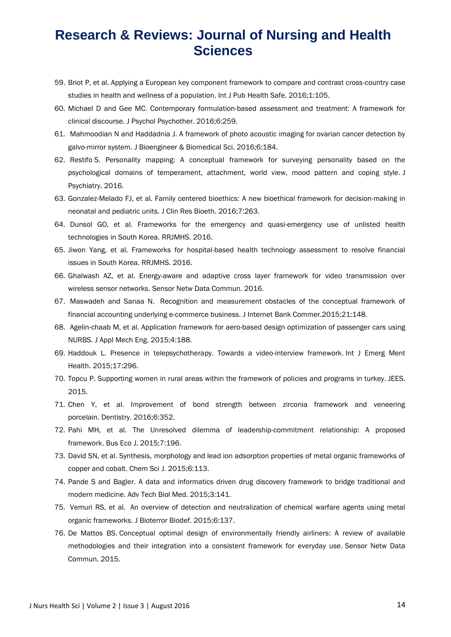- 59. Briot P, et al. Applying a European key component framework to compare and contrast cross-country case studies in health and wellness of a population. Int J Pub Health Safe. 2016;1:105.
- 60. Michael D and Gee MC. Contemporary formulation-based assessment and treatment: A framework for clinical discourse. J Psychol Psychother. 2016;6:259.
- 61. Mahmoodian N and Haddadnia J. A framework of photo acoustic imaging for ovarian cancer detection by galvo-mirror system. J Bioengineer & Biomedical Sci. 2016;6:184.
- 62. Restifo S. Personality mapping: A conceptual framework for surveying personality based on the psychological domains of temperament, attachment, world view, mood pattern and coping style. J Psychiatry. 2016.
- 63. Gonzalez-Melado FJ, et al. Family centered bioethics: A new bioethical framework for decision-making in neonatal and pediatric units. J Clin Res Bioeth. 2016;7:263.
- 64. Dunsol GO, et al. Frameworks for the emergency and quasi-emergency use of unlisted health technologies in South Korea. RRJMHS. 2016.
- 65. Jiwon Yang, et al. Frameworks for hospital-based health technology assessment to resolve financial issues in South Korea. RRJMHS. 2016.
- 66. Ghalwash AZ, et al. Energy-aware and adaptive cross layer framework for video transmission over wireless sensor networks. Sensor Netw Data Commun. 2016.
- 67. Maswadeh and Sanaa N. Recognition and measurement obstacles of the conceptual framework of financial accounting underlying e-commerce business. J Internet Bank Commer.2015;21:148.
- 68. Agelin-chaab M, et al. Application framework for aero-based design optimization of passenger cars using NURBS. J Appl Mech Eng. 2015;4:188.
- 69. Haddouk L. Presence in telepsychotherapy. Towards a video-interview framework. Int J Emerg Ment Health. 2015;17:296.
- 70. Topcu P. Supporting women in rural areas within the framework of policies and programs in turkey. JEES. 2015.
- 71. Chen Y, et al. Improvement of bond strength between zirconia framework and veneering porcelain. Dentistry. 2016;6:352.
- 72. Pahi MH, et al. The Unresolved dilemma of leadership-commitment relationship: A proposed framework. Bus Eco J. 2015;7:196.
- 73. David SN, et al. Synthesis, morphology and lead ion adsorption properties of metal organic frameworks of copper and cobalt. Chem Sci J. 2015;6:113.
- 74. Pande S and Bagler. A data and informatics driven drug discovery framework to bridge traditional and modern medicine. Adv Tech Biol Med. 2015;3:141.
- 75. Vemuri RS, et al. An overview of detection and neutralization of chemical warfare agents using metal organic frameworks. J Bioterror Biodef. 2015;6:137.
- 76. De Mattos BS. Conceptual optimal design of environmentally friendly airliners: A review of available methodologies and their integration into a consistent framework for everyday use. Sensor Netw Data Commun. 2015.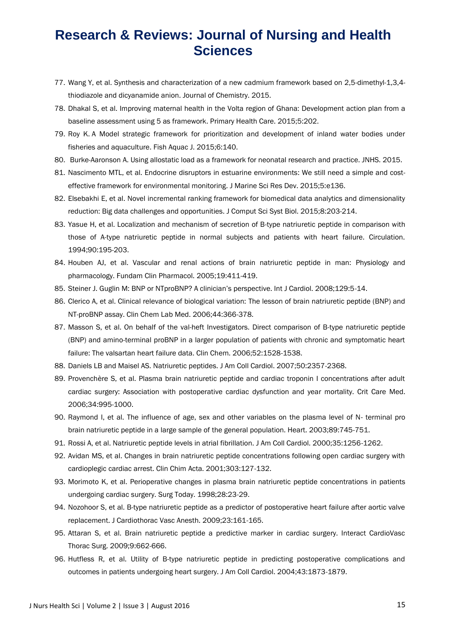- 77. Wang Y, et al. Synthesis and characterization of a new cadmium framework based on 2,5-dimethyl-1,3,4 thiodiazole and dicyanamide anion. Journal of Chemistry. 2015.
- 78. Dhakal S, et al. Improving maternal health in the Volta region of Ghana: Development action plan from a baseline assessment using 5 as framework. Primary Health Care. 2015;5:202.
- 79. Roy K. A Model strategic framework for prioritization and development of inland water bodies under fisheries and aquaculture. Fish Aquac J. 2015;6:140.
- 80. Burke-Aaronson A. Using allostatic load as a framework for neonatal research and practice. JNHS. 2015.
- 81. Nascimento MTL, et al. Endocrine disruptors in estuarine environments: We still need a simple and costeffective framework for environmental monitoring. J Marine Sci Res Dev. 2015;5:e136.
- 82. Elsebakhi E, et al. Novel incremental ranking framework for biomedical data analytics and dimensionality reduction: Big data challenges and opportunities. J Comput Sci Syst Biol. 2015;8:203-214.
- 83. Yasue H, et al. Localization and mechanism of secretion of B-type natriuretic peptide in comparison with those of A-type natriuretic peptide in normal subjects and patients with heart failure. Circulation. 1994;90:195-203.
- 84. Houben AJ, et al. Vascular and renal actions of brain natriuretic peptide in man: Physiology and pharmacology. Fundam Clin Pharmacol. 2005;19:411-419.
- 85. Steiner J. Guglin M: BNP or NTproBNP? A clinician's perspective. Int J Cardiol. 2008;129:5-14.
- 86. Clerico A, et al. Clinical relevance of biological variation: The lesson of brain natriuretic peptide (BNP) and NT-proBNP assay. Clin Chem Lab Med. 2006;44:366-378.
- 87. Masson S, et al. On behalf of the val-heft Investigators. Direct comparison of B-type natriuretic peptide (BNP) and amino-terminal proBNP in a larger population of patients with chronic and symptomatic heart failure: The valsartan heart failure data. Clin Chem. 2006;52:1528-1538.
- 88. Daniels LB and Maisel AS. Natriuretic peptides. J Am Coll Cardiol. 2007;50:2357-2368.
- 89. Provenchère S, et al. Plasma brain natriuretic peptide and cardiac troponin I concentrations after adult cardiac surgery: Association with postoperative cardiac dysfunction and year mortality. Crit Care Med. 2006;34:995-1000.
- 90. Raymond I, et al. The influence of age, sex and other variables on the plasma level of N- terminal pro brain natriuretic peptide in a large sample of the general population. Heart. 2003;89:745-751.
- 91. Rossi A, et al. Natriuretic peptide levels in atrial fibrillation. J Am Coll Cardiol. 2000;35:1256-1262.
- 92. Avidan MS, et al. Changes in brain natriuretic peptide concentrations following open cardiac surgery with cardioplegic cardiac arrest. Clin Chim Acta. 2001;303:127-132.
- 93. Morimoto K, et al. Perioperative changes in plasma brain natriuretic peptide concentrations in patients undergoing cardiac surgery. Surg Today. 1998;28:23-29.
- 94. Nozohoor S, et al. B-type natriuretic peptide as a predictor of postoperative heart failure after aortic valve replacement. J Cardiothorac Vasc Anesth. 2009;23:161-165.
- 95. Attaran S, et al. Brain natriuretic peptide a predictive marker in cardiac surgery. Interact CardioVasc Thorac Surg. 2009;9:662-666.
- 96. Hutfless R, et al. Utility of B-type natriuretic peptide in predicting postoperative complications and outcomes in patients undergoing heart surgery. J Am Coll Cardiol. 2004;43:1873-1879.